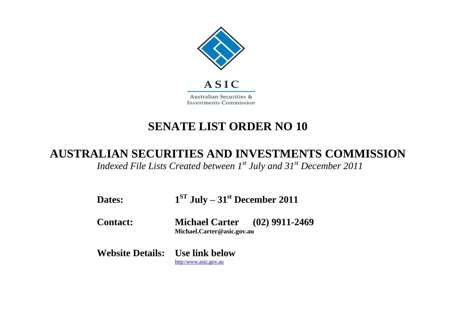

## **SENATE LIST ORDER NO 10**

## **AUSTRALIAN SECURITIES AND INVESTMENTS COMMISSION**

*Indexed File Lists Created between 1st July and 31st December 2011*

| <b>Dates:</b>                          | $1ST$ July – 31 <sup>st</sup> December 2011                        |  |
|----------------------------------------|--------------------------------------------------------------------|--|
| <b>Contact:</b>                        | <b>Michael Carter</b> (02) 9911-2469<br>Michael.Carter@asic.gov.au |  |
| <b>Website Details:</b> Use link below | http:/www.asic.gov.au                                              |  |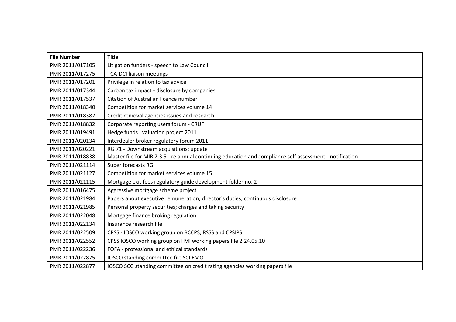| <b>File Number</b> | <b>Title</b>                                                                                             |
|--------------------|----------------------------------------------------------------------------------------------------------|
| PMR 2011/017105    | Litigation funders - speech to Law Council                                                               |
| PMR 2011/017275    | <b>TCA-DCI liaison meetings</b>                                                                          |
| PMR 2011/017201    | Privilege in relation to tax advice                                                                      |
| PMR 2011/017344    | Carbon tax impact - disclosure by companies                                                              |
| PMR 2011/017537    | Citation of Australian licence number                                                                    |
| PMR 2011/018340    | Competition for market services volume 14                                                                |
| PMR 2011/018382    | Credit removal agencies issues and research                                                              |
| PMR 2011/018832    | Corporate reporting users forum - CRUF                                                                   |
| PMR 2011/019491    | Hedge funds : valuation project 2011                                                                     |
| PMR 2011/020134    | Interdealer broker regulatory forum 2011                                                                 |
| PMR 2011/020221    | RG 71 - Downstream acquisitions: update                                                                  |
| PMR 2011/018838    | Master file for MIR 2.3.5 - re annual continuing education and compliance self assessment - notification |
| PMR 2011/021114    | Super forecasts RG                                                                                       |
| PMR 2011/021127    | Competition for market services volume 15                                                                |
| PMR 2011/021115    | Mortgage exit fees regulatory guide development folder no. 2                                             |
| PMR 2011/016475    | Aggressive mortgage scheme project                                                                       |
| PMR 2011/021984    | Papers about executive remuneration; director's duties; continuous disclosure                            |
| PMR 2011/021985    | Personal property securities; charges and taking security                                                |
| PMR 2011/022048    | Mortgage finance broking regulation                                                                      |
| PMR 2011/022134    | Insurance research file                                                                                  |
| PMR 2011/022509    | CPSS - IOSCO working group on RCCPS, RSSS and CPSIPS                                                     |
| PMR 2011/022552    | CPSS IOSCO working group on FMI working papers file 2 24.05.10                                           |
| PMR 2011/022236    | FOFA - professional and ethical standards                                                                |
| PMR 2011/022875    | IOSCO standing committee file SCI EMO                                                                    |
| PMR 2011/022877    | IOSCO SCG standing committee on credit rating agencies working papers file                               |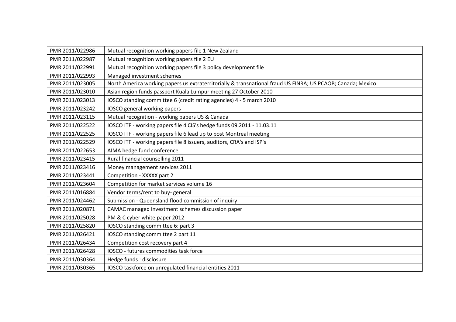| PMR 2011/022986 | Mutual recognition working papers file 1 New Zealand                                                        |
|-----------------|-------------------------------------------------------------------------------------------------------------|
| PMR 2011/022987 | Mutual recognition working papers file 2 EU                                                                 |
| PMR 2011/022991 | Mutual recognition working papers file 3 policy development file                                            |
| PMR 2011/022993 | Managed investment schemes                                                                                  |
| PMR 2011/023005 | North America working papers us extraterritorially & transnational fraud US FINRA; US PCAOB; Canada; Mexico |
| PMR 2011/023010 | Asian region funds passport Kuala Lumpur meeting 27 October 2010                                            |
| PMR 2011/023013 | IOSCO standing committee 6 (credit rating agencies) 4 - 5 march 2010                                        |
| PMR 2011/023242 | IOSCO general working papers                                                                                |
| PMR 2011/023115 | Mutual recognition - working papers US & Canada                                                             |
| PMR 2011/022522 | IOSCO ITF - working papers file 4 CIS's hedge funds 09.2011 - 11.03.11                                      |
| PMR 2011/022525 | IOSCO ITF - working papers file 6 lead up to post Montreal meeting                                          |
| PMR 2011/022529 | IOSCO ITF - working papers file 8 issuers, auditors, CRA's and ISP's                                        |
| PMR 2011/022653 | AIMA hedge fund conference                                                                                  |
| PMR 2011/023415 | Rural financial counselling 2011                                                                            |
| PMR 2011/023416 | Money management services 2011                                                                              |
| PMR 2011/023441 | Competition - XXXXX part 2                                                                                  |
| PMR 2011/023604 | Competition for market services volume 16                                                                   |
| PMR 2011/016884 | Vendor terms/rent to buy-general                                                                            |
| PMR 2011/024462 | Submission - Queensland flood commission of inquiry                                                         |
| PMR 2011/020871 | CAMAC managed investment schemes discussion paper                                                           |
| PMR 2011/025028 | PM & C cyber white paper 2012                                                                               |
| PMR 2011/025820 | IOSCO standing committee 6: part 3                                                                          |
| PMR 2011/026421 | IOSCO standing committee 2 part 11                                                                          |
| PMR 2011/026434 | Competition cost recovery part 4                                                                            |
| PMR 2011/026428 | IOSCO - futures commodities task force                                                                      |
| PMR 2011/030364 | Hedge funds : disclosure                                                                                    |
| PMR 2011/030365 | IOSCO taskforce on unregulated financial entities 2011                                                      |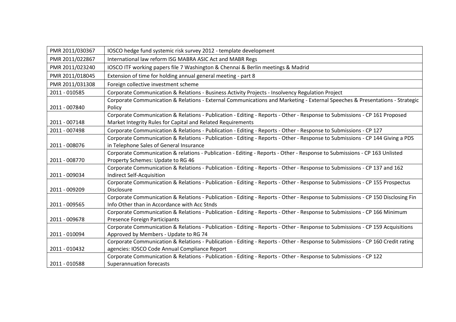| PMR 2011/030367 | IOSCO hedge fund systemic risk survey 2012 - template development                                                                                                                        |
|-----------------|------------------------------------------------------------------------------------------------------------------------------------------------------------------------------------------|
| PMR 2011/022867 | International law reform ISG MABRA ASIC Act and MABR Regs                                                                                                                                |
| PMR 2011/023240 | IOSCO ITF working papers file 7 Washington & Chennai & Berlin meetings & Madrid                                                                                                          |
| PMR 2011/018045 | Extension of time for holding annual general meeting - part 8                                                                                                                            |
| PMR 2011/031308 | Foreign collective investment scheme                                                                                                                                                     |
| 2011 - 010585   | Corporate Communication & Relations - Business Activity Projects - Insolvency Regulation Project                                                                                         |
| 2011 - 007840   | Corporate Communication & Relations - External Communications and Marketing - External Speeches & Presentations - Strategic<br>Policy                                                    |
| 2011 - 007148   | Corporate Communication & Relations - Publication - Editing - Reports - Other - Response to Submissions - CP 161 Proposed<br>Market Integrity Rules for Capital and Related Requirements |
| 2011 - 007498   | Corporate Communication & Relations - Publication - Editing - Reports - Other - Response to Submissions - CP 127                                                                         |
|                 | Corporate Communication & Relations - Publication - Editing - Reports - Other - Response to Submissions - CP 144 Giving a PDS                                                            |
| 2011 - 008076   | in Telephone Sales of General Insurance                                                                                                                                                  |
|                 | Corporate Communication & relations - Publication - Editing - Reports - Other - Response to Submissions - CP 163 Unlisted                                                                |
| 2011 - 008770   | Property Schemes: Update to RG 46                                                                                                                                                        |
|                 | Corporate Communication & Relations - Publication - Editing - Reports - Other - Response to Submissions - CP 137 and 162                                                                 |
| 2011 - 009034   | Indirect Self-Acquisition                                                                                                                                                                |
|                 | Corporate Communication & Relations - Publication - Editing - Reports - Other - Response to Submissions - CP 155 Prospectus<br><b>Disclosure</b>                                         |
| 2011 - 009209   |                                                                                                                                                                                          |
| 2011 - 009565   | Corporate Communication & Relations - Publication - Editing - Reports - Other - Response to Submissions - CP 150 Disclosing Fin<br>Info Other than in Accordance with Acc Stnds          |
|                 | Corporate Communication & Relations - Publication - Editing - Reports - Other - Response to Submissions - CP 166 Minimum                                                                 |
| 2011 - 009678   | Presence Foreign Participants                                                                                                                                                            |
|                 | Corporate Communication & Relations - Publication - Editing - Reports - Other - Response to Submissions - CP 159 Acquisitions                                                            |
| 2011 - 010094   | Approved by Members - Update to RG 74                                                                                                                                                    |
|                 | Corporate Communication & Relations - Publication - Editing - Reports - Other - Response to Submissions - CP 160 Credit rating                                                           |
| 2011 - 010432   | agencies: IOSCO Code Annual Compliance Report                                                                                                                                            |
|                 | Corporate Communication & Relations - Publication - Editing - Reports - Other - Response to Submissions - CP 122                                                                         |
| 2011 - 010588   | Superannuation forecasts                                                                                                                                                                 |